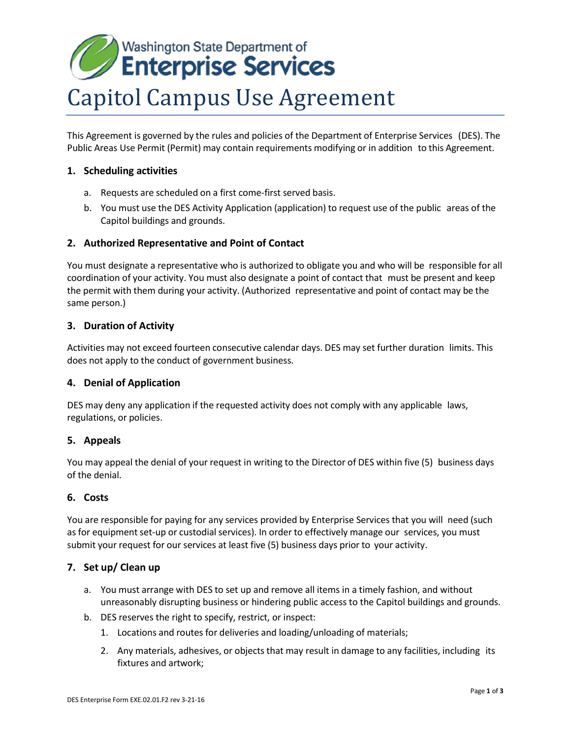# Washington State Department of **Enterprise Services** Capitol Campus Use Agreement

This Agreement is governed by the rules and policies of the Department of Enterprise Services (DES). The Public Areas Use Permit (Permit) may contain requirements modifying or in addition to this Agreement.

# **1. Scheduling activities**

- a. Requests are scheduled on a first come-first served basis.
- b. You must use the DES Activity Application (application) to request use of the public areas of the Capitol buildings and grounds.

# **2. Authorized Representative and Point of Contact**

You must designate a representative who is authorized to obligate you and who will be responsible for all coordination of your activity. You must also designate a point of contact that must be present and keep the permit with them during your activity. (Authorized representative and point of contact may be the same person.)

# **3. Duration of Activity**

Activities may not exceed fourteen consecutive calendar days. DES may set further duration limits. This does not apply to the conduct of government business.

## **4. Denial of Application**

DES may deny any application if the requested activity does not comply with any applicable laws, regulations, or policies.

## **5. Appeals**

You may appeal the denial of your request in writing to the Director of DES within five (5) business days of the denial.

## **6. Costs**

You are responsible for paying for any services provided by Enterprise Services that you will need (such as for equipment set-up or custodial services). In order to effectively manage our services, you must submit your request for our services at least five (5) business days prior to your activity.

## **7. Set up/ Clean up**

- a. You must arrange with DES to set up and remove all items in a timely fashion, and without unreasonably disrupting business or hindering public access to the Capitol buildings and grounds.
- b. DES reserves the right to specify, restrict, or inspect:
	- 1. Locations and routes for deliveries and loading/unloading of materials;
	- 2. Any materials, adhesives, or objects that may result in damage to any facilities, including its fixtures and artwork;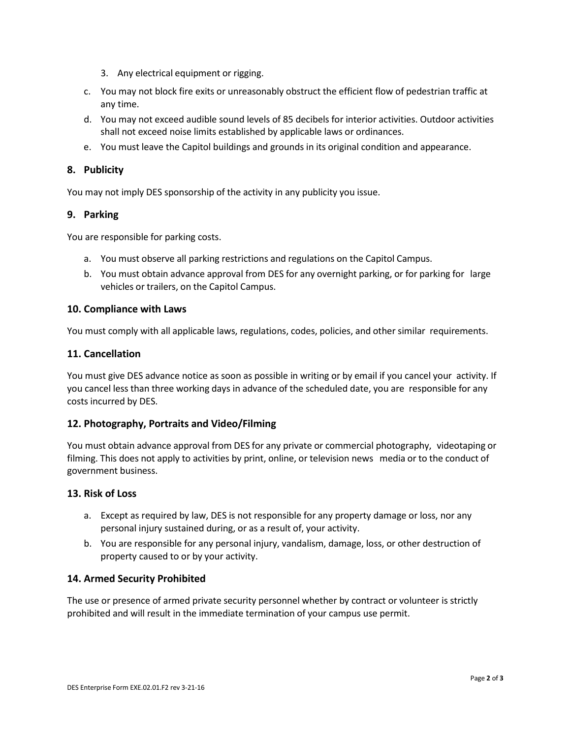- 3. Any electrical equipment or rigging.
- c. You may not block fire exits or unreasonably obstruct the efficient flow of pedestrian traffic at any time.
- d. You may not exceed audible sound levels of 85 decibels for interior activities. Outdoor activities shall not exceed noise limits established by applicable laws or ordinances.
- e. You must leave the Capitol buildings and grounds in its original condition and appearance.

### **8. Publicity**

You may not imply DES sponsorship of the activity in any publicity you issue.

#### **9. Parking**

You are responsible for parking costs.

- a. You must observe all parking restrictions [and regulations on](http://www.des.wa.gov/services/Travel/Parking/Pages/ParkVisitor.aspx) the Capitol Campus.
- b. You must obtain advance approval from DES for any overnight parking, or for parking for large vehicles or trailers, on the Capitol Campus.

#### **10. Compliance with Laws**

You must comply with all applicable laws, regulations, codes, policies, and other similar requirements.

#### **11. Cancellation**

You must give DES advance notice as soon as possible in writing or by email if you cancel your activity. If you cancel less than three working days in advance of the scheduled date, you are responsible for any costs incurred by DES.

## **12. Photography, Portraits and Video/Filming**

You must obtain advance approval from DES for any private or commercial photography, videotaping or filming. This does not apply to activities by print, online, or television news media or to the conduct of government business.

#### **13. Risk of Loss**

- a. Except as required by law, DES is not responsible for any property damage or loss, nor any personal injury sustained during, or as a result of, your activity.
- b. You are responsible for any personal injury, vandalism, damage, loss, or other destruction of property caused to or by your activity.

#### **14. Armed Security Prohibited**

The use or presence of armed private security personnel whether by contract or volunteer is strictly prohibited and will result in the immediate termination of your campus use permit.